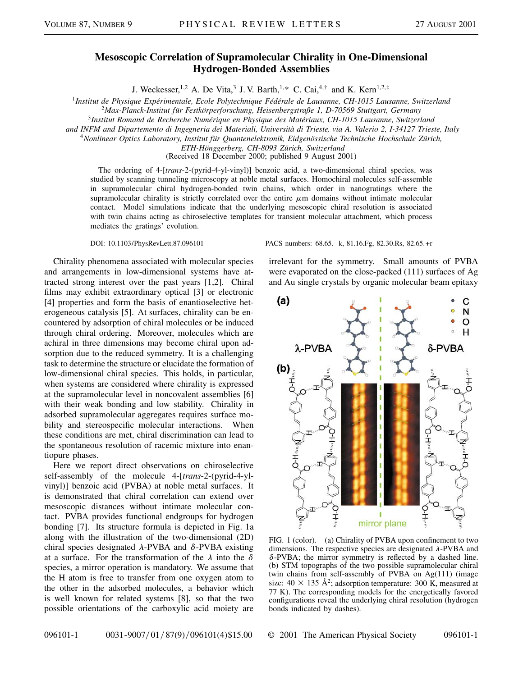## **Mesoscopic Correlation of Supramolecular Chirality in One-Dimensional Hydrogen-Bonded Assemblies**

J. Weckesser,<sup>1,2</sup> A. De Vita,<sup>3</sup> J. V. Barth,<sup>1,\*</sup> C. Cai,<sup>4,†</sup> and K. Kern<sup>1,2,‡</sup>

<sup>1</sup>*Institut de Physique Expérimentale, Ecole Polytechnique Fédérale de Lausanne, CH-1015 Lausanne, Switzerland*

<sup>2</sup>*Max-Planck-Institut für Festkörperforschung, Heisenbergstraße 1, D-70569 Stuttgart, Germany*

<sup>3</sup>*Institut Romand de Recherche Numérique en Physique des Matériaux, CH-1015 Lausanne, Switzerland*

*and INFM and Dipartemento di Ingegneria dei Materiali, Università di Trieste, via A. Valerio 2, I-34127 Trieste, Italy*

<sup>4</sup>*Nonlinear Optics Laboratory, Institut für Quantenelektronik, Eidgenössische Technische Hochschule Zürich,*

*ETH-Hönggerberg, CH-8093 Zürich, Switzerland*

(Received 18 December 2000; published 9 August 2001)

The ordering of 4-[*trans*-2-(pyrid-4-yl-vinyl)] benzoic acid, a two-dimensional chiral species, was studied by scanning tunneling microscopy at noble metal surfaces. Homochiral molecules self-assemble in supramolecular chiral hydrogen-bonded twin chains, which order in nanogratings where the supramolecular chirality is strictly correlated over the entire  $\mu$ m domains without intimate molecular contact. Model simulations indicate that the underlying mesoscopic chiral resolution is associated with twin chains acting as chiroselective templates for transient molecular attachment, which process mediates the gratings' evolution.

Chirality phenomena associated with molecular species and arrangements in low-dimensional systems have attracted strong interest over the past years [1,2]. Chiral films may exhibit extraordinary optical [3] or electronic [4] properties and form the basis of enantioselective heterogeneous catalysis [5]. At surfaces, chirality can be encountered by adsorption of chiral molecules or be induced through chiral ordering. Moreover, molecules which are achiral in three dimensions may become chiral upon adsorption due to the reduced symmetry. It is a challenging task to determine the structure or elucidate the formation of low-dimensional chiral species. This holds, in particular, when systems are considered where chirality is expressed at the supramolecular level in noncovalent assemblies [6] with their weak bonding and low stability. Chirality in adsorbed supramolecular aggregates requires surface mobility and stereospecific molecular interactions. When these conditions are met, chiral discrimination can lead to the spontaneous resolution of racemic mixture into enantiopure phases.

Here we report direct observations on chiroselective self-assembly of the molecule 4-[*trans*-2-(pyrid-4-ylvinyl)] benzoic acid (PVBA) at noble metal surfaces. It is demonstrated that chiral correlation can extend over mesoscopic distances without intimate molecular contact. PVBA provides functional endgroups for hydrogen bonding [7]. Its structure formula is depicted in Fig. 1a along with the illustration of the two-dimensional (2D) chiral species designated  $\lambda$ -PVBA and  $\delta$ -PVBA existing at a surface. For the transformation of the  $\lambda$  into the  $\delta$ species, a mirror operation is mandatory. We assume that the H atom is free to transfer from one oxygen atom to the other in the adsorbed molecules, a behavior which is well known for related systems [8], so that the two possible orientations of the carboxylic acid moiety are

DOI: 10.1103/PhysRevLett.87.096101 PACS numbers: 68.65.–k, 81.16.Fg, 82.30.Rs, 82.65.+r

irrelevant for the symmetry. Small amounts of PVBA were evaporated on the close-packed (111) surfaces of Ag and Au single crystals by organic molecular beam epitaxy



FIG. 1 (color). (a) Chirality of PVBA upon confinement to two dimensions. The respective species are designated  $\lambda$ -PVBA and  $\delta$ -PVBA; the mirror symmetry is reflected by a dashed line. (b) STM topographs of the two possible supramolecular chiral twin chains from self-assembly of PVBA on Ag(111) (image size:  $40 \times 135 \text{ Å}^2$ ; adsorption temperature: 300 K, measured at 77 K). The corresponding models for the energetically favored configurations reveal the underlying chiral resolution (hydrogen bonds indicated by dashes).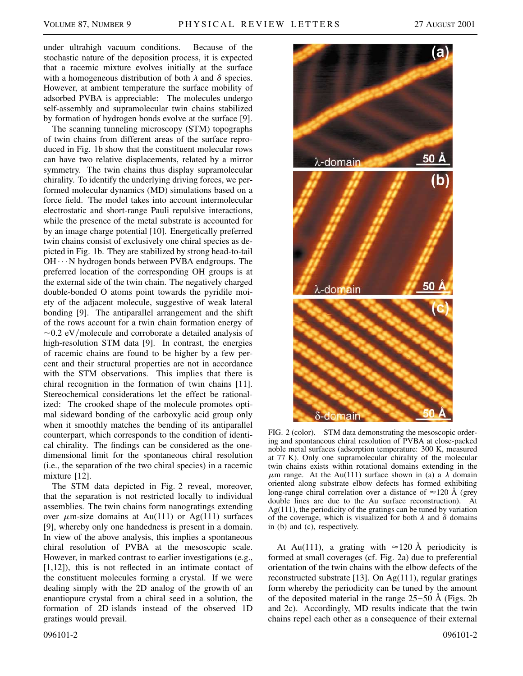under ultrahigh vacuum conditions. Because of the stochastic nature of the deposition process, it is expected that a racemic mixture evolves initially at the surface with a homogeneous distribution of both  $\lambda$  and  $\delta$  species. However, at ambient temperature the surface mobility of adsorbed PVBA is appreciable: The molecules undergo self-assembly and supramolecular twin chains stabilized by formation of hydrogen bonds evolve at the surface [9].

The scanning tunneling microscopy (STM) topographs of twin chains from different areas of the surface reproduced in Fig. 1b show that the constituent molecular rows can have two relative displacements, related by a mirror symmetry. The twin chains thus display supramolecular chirality. To identify the underlying driving forces, we performed molecular dynamics (MD) simulations based on a force field. The model takes into account intermolecular electrostatic and short-range Pauli repulsive interactions, while the presence of the metal substrate is accounted for by an image charge potential [10]. Energetically preferred twin chains consist of exclusively one chiral species as depicted in Fig. 1b. They are stabilized by strong head-to-tail  $OH \cdots N$  hydrogen bonds between PVBA endgroups. The preferred location of the corresponding OH groups is at the external side of the twin chain. The negatively charged double-bonded O atoms point towards the pyridile moiety of the adjacent molecule, suggestive of weak lateral bonding [9]. The antiparallel arrangement and the shift of the rows account for a twin chain formation energy of  $\sim$ 0.2 eV/molecule and corroborate a detailed analysis of high-resolution STM data [9]. In contrast, the energies of racemic chains are found to be higher by a few percent and their structural properties are not in accordance with the STM observations. This implies that there is chiral recognition in the formation of twin chains [11]. Stereochemical considerations let the effect be rationalized: The crooked shape of the molecule promotes optimal sideward bonding of the carboxylic acid group only when it smoothly matches the bending of its antiparallel counterpart, which corresponds to the condition of identical chirality. The findings can be considered as the onedimensional limit for the spontaneous chiral resolution (i.e., the separation of the two chiral species) in a racemic mixture [12].

The STM data depicted in Fig. 2 reveal, moreover, that the separation is not restricted locally to individual assemblies. The twin chains form nanogratings extending over  $\mu$ m-size domains at Au(111) or Ag(111) surfaces [9], whereby only one handedness is present in a domain. In view of the above analysis, this implies a spontaneous chiral resolution of PVBA at the mesoscopic scale. However, in marked contrast to earlier investigations (e.g., [1,12]), this is not reflected in an intimate contact of the constituent molecules forming a crystal. If we were dealing simply with the 2D analog of the growth of an enantiopure crystal from a chiral seed in a solution, the formation of 2D islands instead of the observed 1D gratings would prevail.





FIG. 2 (color). STM data demonstrating the mesoscopic ordering and spontaneous chiral resolution of PVBA at close-packed noble metal surfaces (adsorption temperature: 300 K, measured at 77 K). Only one supramolecular chirality of the molecular twin chains exists within rotational domains extending in the  $\mu$ m range. At the Au(111) surface shown in (a) a  $\lambda$  domain oriented along substrate elbow defects has formed exhibiting long-range chiral correlation over a distance of  $\approx$ 120 Å (grey double lines are due to the Au surface reconstruction). At Ag(111), the periodicity of the gratings can be tuned by variation of the coverage, which is visualized for both  $\lambda$  and  $\delta$  domains in (b) and (c), respectively.

At Au(111), a grating with  $\approx$ 120 Å periodicity is formed at small coverages (cf. Fig. 2a) due to preferential orientation of the twin chains with the elbow defects of the reconstructed substrate [13]. On Ag(111), regular gratings form whereby the periodicity can be tuned by the amount of the deposited material in the range  $25-50$  Å (Figs. 2b) and 2c). Accordingly, MD results indicate that the twin chains repel each other as a consequence of their external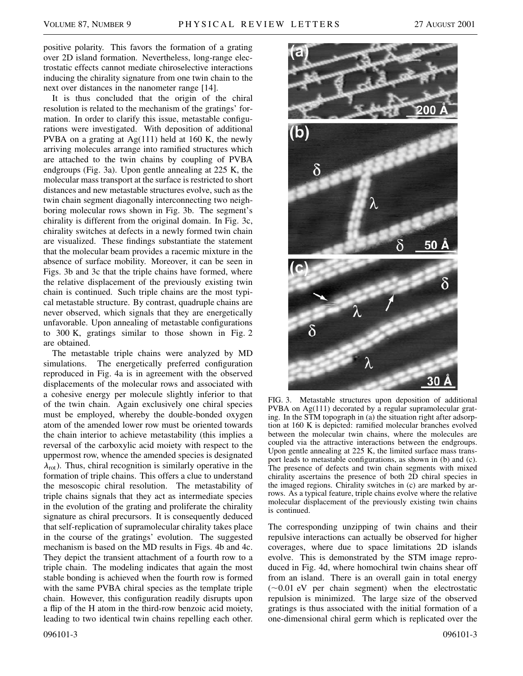positive polarity. This favors the formation of a grating over 2D island formation. Nevertheless, long-range electrostatic effects cannot mediate chiroselective interactions inducing the chirality signature from one twin chain to the next over distances in the nanometer range [14].

It is thus concluded that the origin of the chiral resolution is related to the mechanism of the gratings' formation. In order to clarify this issue, metastable configurations were investigated. With deposition of additional PVBA on a grating at  $Ag(111)$  held at 160 K, the newly arriving molecules arrange into ramified structures which are attached to the twin chains by coupling of PVBA endgroups (Fig. 3a). Upon gentle annealing at 225 K, the molecular mass transport at the surface is restricted to short distances and new metastable structures evolve, such as the twin chain segment diagonally interconnecting two neighboring molecular rows shown in Fig. 3b. The segment's chirality is different from the original domain. In Fig. 3c, chirality switches at defects in a newly formed twin chain are visualized. These findings substantiate the statement that the molecular beam provides a racemic mixture in the absence of surface mobility. Moreover, it can be seen in Figs. 3b and 3c that the triple chains have formed, where the relative displacement of the previously existing twin chain is continued. Such triple chains are the most typical metastable structure. By contrast, quadruple chains are never observed, which signals that they are energetically unfavorable. Upon annealing of metastable configurations to 300 K, gratings similar to those shown in Fig. 2 are obtained.

The metastable triple chains were analyzed by MD simulations. The energetically preferred configuration reproduced in Fig. 4a is in agreement with the observed displacements of the molecular rows and associated with a cohesive energy per molecule slightly inferior to that of the twin chain. Again exclusively one chiral species must be employed, whereby the double-bonded oxygen atom of the amended lower row must be oriented towards the chain interior to achieve metastability (this implies a reversal of the carboxylic acid moiety with respect to the uppermost row, whence the amended species is designated  $\lambda_{\rm rot}$ ). Thus, chiral recognition is similarly operative in the formation of triple chains. This offers a clue to understand the mesoscopic chiral resolution. The metastability of triple chains signals that they act as intermediate species in the evolution of the grating and proliferate the chirality signature as chiral precursors. It is consequently deduced that self-replication of supramolecular chirality takes place in the course of the gratings' evolution. The suggested mechanism is based on the MD results in Figs. 4b and 4c. They depict the transient attachment of a fourth row to a triple chain. The modeling indicates that again the most stable bonding is achieved when the fourth row is formed with the same PVBA chiral species as the template triple chain. However, this configuration readily disrupts upon a flip of the H atom in the third-row benzoic acid moiety, leading to two identical twin chains repelling each other.



FIG. 3. Metastable structures upon deposition of additional PVBA on Ag(111) decorated by a regular supramolecular grating. In the STM topograph in (a) the situation right after adsorption at 160 K is depicted: ramified molecular branches evolved between the molecular twin chains, where the molecules are coupled via the attractive interactions between the endgroups. Upon gentle annealing at 225 K, the limited surface mass transport leads to metastable configurations, as shown in (b) and (c). The presence of defects and twin chain segments with mixed chirality ascertains the presence of both 2D chiral species in the imaged regions. Chirality switches in (c) are marked by arrows. As a typical feature, triple chains evolve where the relative molecular displacement of the previously existing twin chains is continued.

The corresponding unzipping of twin chains and their repulsive interactions can actually be observed for higher coverages, where due to space limitations 2D islands evolve. This is demonstrated by the STM image reproduced in Fig. 4d, where homochiral twin chains shear off from an island. There is an overall gain in total energy  $(-0.01$  eV per chain segment) when the electrostatic repulsion is minimized. The large size of the observed gratings is thus associated with the initial formation of a one-dimensional chiral germ which is replicated over the